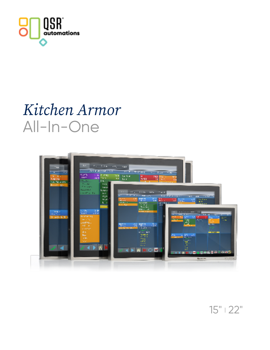

## *Kitchen Armor* All-In-One



15" | 22"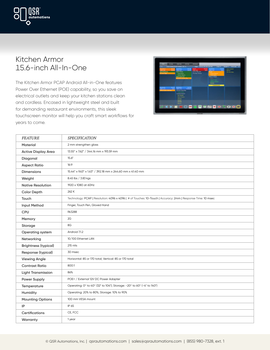#### Kitchen Armor 15.6-inch All-In-One

omations

The Kitchen Armor PCAP Android All-in-One features Power Over Ethernet (POE) capability, so you save on electrical outlets and keep your kitchen stations clean and cordless. Encased in lightweight steel and built for demanding restaurant environments, this sleek touchscreen monitor will help you craft smart workflows for years to come.



| <b>FEATURE</b>              | <b>SPECIFICATION</b>                                                                                                     |
|-----------------------------|--------------------------------------------------------------------------------------------------------------------------|
| <b>Material</b>             | 2 mm strengthen glass                                                                                                    |
| <b>Active Display Area</b>  | 13.55" x 7.62" / 344.16 mm x 193.59 mm                                                                                   |
| Diagonal                    | 15.6''                                                                                                                   |
| <b>Aspect Ratio</b>         | 16:9                                                                                                                     |
| <b>Dimensions</b>           | 15.44" x 9.63" x 1.63" / 392.18 mm x 244.60 mm x 41.40 mm                                                                |
| Weight                      | 8.45 lbs / 3.83 kgs                                                                                                      |
| <b>Native Resolution</b>    | 1920 x 1080 at 60Hz                                                                                                      |
| <b>Color Depth</b>          | 262 K                                                                                                                    |
| Touch                       | Technology: PCAP   Resolution: 4096 x 4096   # of Touches: 10-Touch   Accuracy: 2mm   Response Time: 10 msec             |
| <b>Input Method</b>         | Finger, Touch Pen, Gloved Hand                                                                                           |
| CPU                         | <b>Rk3288</b>                                                                                                            |
| Memory                      | 2G                                                                                                                       |
| Storage                     | 8G                                                                                                                       |
| Operating system            | Android 7.1.2                                                                                                            |
| Networking                  | 10/100 Ethernet LAN                                                                                                      |
| <b>Brightness (typical)</b> | 215 nits                                                                                                                 |
| Response (typical)          | 30 msec                                                                                                                  |
| <b>Viewing Angle</b>        | Horizontal: 85 or 170 total; Vertical: 85 or 170 total                                                                   |
| <b>Contrast Ratio</b>       | 800:1                                                                                                                    |
| <b>Light Transmission</b>   | 86%                                                                                                                      |
| Power Supply                | POE+ / External 12V DC Power Adapter                                                                                     |
| Temperature                 | Operating: 0° to 40° (32 <sup>F</sup> to 104 <sup>F</sup> ); Storage: -20° to 60° (-4 <sup>F</sup> to 140 <sup>F</sup> ) |
| Humidity                    | Operating: 20% to 80%; Storage: 10% to 90%                                                                               |
| <b>Mounting Options</b>     | 100 mm VESA mount                                                                                                        |
| IP                          | IP 65                                                                                                                    |
| Certifications              | CE, FCC                                                                                                                  |
| Warranty                    | 1 year                                                                                                                   |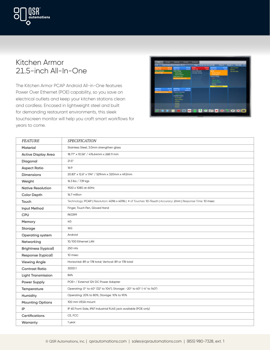

#### Kitchen Armor 21.5-inch All-In-One

The Kitchen Armor PCAP Android All-in-One features Power Over Ethernet (POE) capability, so you save on electrical outlets and keep your kitchen stations clean and cordless. Encased in lightweight steel and built for demanding restaurant environments, this sleek touchscreen monitor will help you craft smart workflows for years to come.



| <b>FEATURE</b>              | SPECIFICATION                                                                                                            |
|-----------------------------|--------------------------------------------------------------------------------------------------------------------------|
| <b>Material</b>             | Stainless Steel, 3.0mm strengthen glass                                                                                  |
| <b>Active Display Area</b>  | 18.77" x 10.56" / 476.64mm x 268.11 mm                                                                                   |
| Diagonal                    | 21.5"                                                                                                                    |
| <b>Aspect Ratio</b>         | 16:9                                                                                                                     |
| <b>Dimensions</b>           | 20.83" x 12.6" x 1.94" / 529mm x 320mm x 49.2mm                                                                          |
| Weight                      | 16.3 lbs / 7.39 kgs                                                                                                      |
| <b>Native Resolution</b>    | 1920 x 1080 at 60Hz                                                                                                      |
| <b>Color Depth</b>          | 16.7 million                                                                                                             |
| Touch                       | Technology: PCAP   Resolution: 4096 x 4096   # of Touches: 10-Touch   Accuracy: 2mm   Response Time: 10 msec             |
| <b>Input Method</b>         | Finger, Touch Pen, Gloved Hand                                                                                           |
| <b>CPU</b>                  | <b>RK3399</b>                                                                                                            |
| Memory                      | 4G                                                                                                                       |
| Storage                     | 16G                                                                                                                      |
| <b>Operating system</b>     | Android                                                                                                                  |
| Networking                  | 10/100 Ethernet LAN                                                                                                      |
| <b>Brightness (typical)</b> | 250 nits                                                                                                                 |
| Response (typical)          | 10 msec                                                                                                                  |
| <b>Viewing Angle</b>        | Horizontal: 89 or 178 total; Vertical: 89 or 178 total                                                                   |
| <b>Contrast Ratio</b>       | 3000:1                                                                                                                   |
| <b>Light Transmission</b>   | 86%                                                                                                                      |
| <b>Power Supply</b>         | POE+ / External 12V DC Power Adapter                                                                                     |
| Temperature                 | Operating: 0° to 40° (32 <sup>F</sup> to 104 <sup>F</sup> ); Storage: -20° to 60° (-4 <sup>F</sup> to 140 <sup>F</sup> ) |
| Humidity                    | Operating: 20% to 80%; Storage: 10% to 90%                                                                               |
| <b>Mounting Options</b>     | 100 mm VESA mount                                                                                                        |
| IP                          | IP 65 Front Side, IP67 Industrial RJ45 jack available (POE only)                                                         |
| Certifications              | CE, FCC                                                                                                                  |
| Warranty                    | 1 year                                                                                                                   |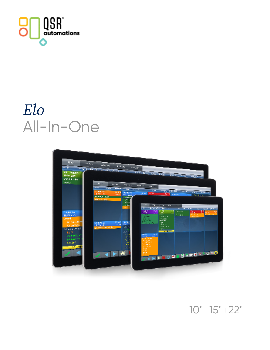

# *Elo* All-In-One



### $10"$  |  $15"$  |  $22"$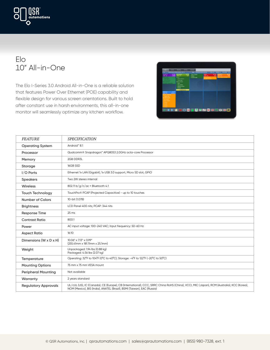

#### Elo 10" All-in-One

The Elo I-Series 3.0 Android All-in-One is a reliable solution that features Power Over Ethernet (POE) capability and flexible design for various screen orientations. Built to hold after constant use in harsh environments, this all-in-one monitor will seamlessly optimize any kitchen workflow.



| <b>FEATURE</b>                       | <b>SPECIFICATION</b>                                                                                                                                                                                                 |
|--------------------------------------|----------------------------------------------------------------------------------------------------------------------------------------------------------------------------------------------------------------------|
| <b>Operating System</b>              | Android <sup>®</sup> 8.1                                                                                                                                                                                             |
| Processor                            | Qualcomm® Snapdragon™ APQ8053 2.0GHz octa-core Processor                                                                                                                                                             |
| Memory                               | 2GB DDR3L                                                                                                                                                                                                            |
| Storage                              | 16GB SSD                                                                                                                                                                                                             |
| $I/O$ Ports                          | Ethernet 1x LAN (Gigabit), 1x USB 3.0 support, Micro SD slot, GPIO                                                                                                                                                   |
| <b>Speakers</b>                      | Two 2W stereo internal                                                                                                                                                                                               |
| <b>Wireless</b>                      | 802.11 b/g/n/ac + Bluetooth 4.1                                                                                                                                                                                      |
| <b>Touch Technology</b>              | TouchPro® PCAP (Projected Capacitive) - up to 10 touches                                                                                                                                                             |
| <b>Number of Colors</b>              | 10-bit (1.07B)                                                                                                                                                                                                       |
| <b>Brightness</b>                    | LCD Panel 400 nits; PCAP: 344 nits                                                                                                                                                                                   |
| <b>Response Time</b>                 | 25 <sub>ms</sub>                                                                                                                                                                                                     |
| <b>Contrast Ratio</b>                | 800:1                                                                                                                                                                                                                |
| Power                                | AC input voltage: 100-240 VAC; Input frequency: 50-60 Hz                                                                                                                                                             |
| <b>Aspect Ratio</b>                  | 16:10                                                                                                                                                                                                                |
| Dimensions ( $W \times D \times H$ ) | $10.06'' \times 7.13'' \times 0.99''$<br>$(255.41$ mm x 181.11mm x 25.1mm)                                                                                                                                           |
| Weight                               | Unpackaged: 1.94 lbs (0.88 kg)<br>Packaged: 4.56 lbs (2.07 kg)                                                                                                                                                       |
| Temperature                          | Operating: 32°F to 104°F (0°C to 40°C); Storage: -4°F to 122°F (-20°C to 50°C)                                                                                                                                       |
| <b>Mounting Options</b>              | 75 mm x 75 mm VESA mount                                                                                                                                                                                             |
| <b>Peripheral Mounting</b>           | Not available                                                                                                                                                                                                        |
| Warranty                             | 2 years standard                                                                                                                                                                                                     |
| <b>Regulatory Approvals</b>          | UL/cUL (US), IC (Canada), CE (Europe), CB (International), CCC, SRRC China RoHS (China), VCCI, MIC (Japan), RCM (Australia), KCC (Korea),<br>NOM (Mexico), BIS (India), ANATEL (Brazil), BSMI (Taiwan), EAC (Russia) |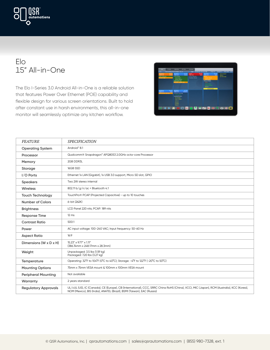

#### Elo 15" All-in-One

The Elo I-Series 3.0 Android All-in-One is a reliable solution that features Power Over Ethernet (POE) capability and flexible design for various screen orientations. Built to hold after constant use in harsh environments, this all-in-one monitor will seamlessly optimize any kitchen workflow.



| <b>FEATURE</b>                     | <b>SPECIFICATION</b>                                                                                                                                                                                                 |
|------------------------------------|----------------------------------------------------------------------------------------------------------------------------------------------------------------------------------------------------------------------|
| <b>Operating System</b>            | Android <sup>™</sup> 8.1                                                                                                                                                                                             |
|                                    |                                                                                                                                                                                                                      |
| Processor                          | Qualcomm® Snapdragon™ APQ8053 2.0GHz octa-core Processor                                                                                                                                                             |
| Memory                             | 2GB DDR3L                                                                                                                                                                                                            |
| Storage                            | 16GB SSD                                                                                                                                                                                                             |
| $I/O$ Ports                        | Ethernet 1x LAN (Gigabit), 1x USB 3.0 support, Micro SD slot, GPIO                                                                                                                                                   |
| <b>Speakers</b>                    | Two 2W stereo internal                                                                                                                                                                                               |
| Wireless                           | 802.11 b/g/n/ac + Bluetooth 4.1                                                                                                                                                                                      |
| <b>Touch Technology</b>            | TouchPro® PCAP (Projected Capacitive) - up to 10 touches                                                                                                                                                             |
| Number of Colors                   | 6-bit (262K)                                                                                                                                                                                                         |
| <b>Brightness</b>                  | LCD Panel 220 nits; PCAP: 189 nits                                                                                                                                                                                   |
| <b>Response Time</b>               | $12 \text{ ms}$                                                                                                                                                                                                      |
| <b>Contrast Ratio</b>              | 500:1                                                                                                                                                                                                                |
| Power                              | AC input voltage: 100-240 VAC; Input frequency: 50-60 Hz                                                                                                                                                             |
| <b>Aspect Ratio</b>                | 16:9                                                                                                                                                                                                                 |
| Dimensions $(W \times D \times H)$ | $15.23'' \times 9.77'' \times 1.11''$<br>(386.74mm x 248.17mm x 28.3mm)                                                                                                                                              |
| Weight                             | Unpackaged: 3.5 lbs (1.59 kg)<br>Packaged: 7.20 lbs (3.27 kg)                                                                                                                                                        |
| Temperature                        | Operating: 32°F to 104°F (0°C to 40°C); Storage: -4°F to 122°F (-20°C to 50°C)                                                                                                                                       |
| <b>Mounting Options</b>            | 75mm x 75mm VESA mount & 100mm x 100mm VESA mount                                                                                                                                                                    |
| <b>Peripheral Mounting</b>         | Not available                                                                                                                                                                                                        |
| Warranty                           | 2 years standard                                                                                                                                                                                                     |
| <b>Regulatory Approvals</b>        | UL/cUL (US), IC (Canada), CE (Europe), CB (International), CCC, SRRC China RoHS (China), VCCI, MIC (Japan), RCM (Australia), KCC (Korea),<br>NOM (Mexico), BIS (India), ANATEL (Brazil), BSMI (Taiwan), EAC (Russia) |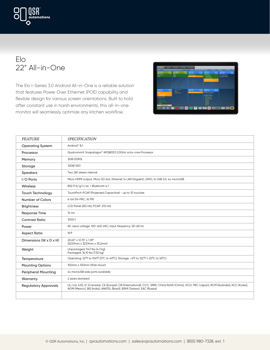

#### Elo 22" All-in-One

The Elo I-Series 3.0 Android All-in-One is a reliable solution that features Power Over Ethernet (POE) capability and flexible design for various screen orientations. Built to hold after constant use in harsh environments, this all-in-one monitor will seamlessly optimize any kitchen workflow.



| <b>FEATURE</b>                     | <b>SPECIFICATION</b>                                                                                                                                                                                                 |
|------------------------------------|----------------------------------------------------------------------------------------------------------------------------------------------------------------------------------------------------------------------|
| <b>Operating System</b>            | Android <sup>*</sup> 8.1                                                                                                                                                                                             |
| Processor                          | Qualcomm® Snapdragon™ APQ8053 2.0GHz octa-core Processor                                                                                                                                                             |
| Memory                             | 3GB DDR3L                                                                                                                                                                                                            |
| Storage                            | 32GB SSD                                                                                                                                                                                                             |
| <b>Speakers</b>                    | Two 2W stereo internal                                                                                                                                                                                               |
| I/O Ports                          | Micro HDMI output, Micro SD slot, Ethernet 1x LAN (Gigabit), GPIO, 1x USB 3.0, 4x microUSB                                                                                                                           |
| Wireless                           | 802.11 b/g/n/ac + Bluetooth 4.1                                                                                                                                                                                      |
| <b>Touch Technology</b>            | TouchPro® PCAP (Projected Capacitive) - up to 10 touches                                                                                                                                                             |
| <b>Number of Colors</b>            | 6-bit (Hi-FRC; 16.7M)                                                                                                                                                                                                |
| <b>Brightness</b>                  | LCD Panel 250 nits; PCAP: 215 nits                                                                                                                                                                                   |
| <b>Response Time</b>               | 14 ms                                                                                                                                                                                                                |
| <b>Contrast Ratio</b>              | 1000:1                                                                                                                                                                                                               |
| Power                              | AC input voltage: 100-240 VAC; Input frequency: 50-60 Hz                                                                                                                                                             |
| <b>Aspect Ratio</b>                | 16:9                                                                                                                                                                                                                 |
| Dimensions $(W \times D \times H)$ | 20.63" x 12.75" x 1.39"<br>(523.9mm x 323.9mm x 35.2mm)                                                                                                                                                              |
| Weight                             | Unpackaged: 9.47 lbs (4.3 kg)<br>Packaged: 16.10 lbs (7.30 kg)                                                                                                                                                       |
| Temperature                        | Operating: 32°F to 104°F (0°C to 40°C); Storage: -4°F to 122°F (-20°C to 50°C)                                                                                                                                       |
| <b>Mounting Options</b>            | 100mm x 100mm VESA mount                                                                                                                                                                                             |
| <b>Peripheral Mounting</b>         | 4x microUSB side ports available                                                                                                                                                                                     |
| Warranty                           | 2 years standard                                                                                                                                                                                                     |
| <b>Regulatory Approvals</b>        | UL/cUL (US), IC (Canada), CE (Europe), CB (International), CCC, SRRC China RoHS (China), VCCI, MIC (Japan), RCM (Australia), KCC (Korea),<br>NOM (Mexico), BIS (India), ANATEL (Brazil), BSMI (Taiwan), EAC (Russia) |
|                                    |                                                                                                                                                                                                                      |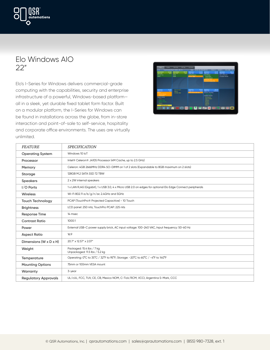

#### Elo Windows AIO 22"

Elo's I-Series for Windows delivers commercial-grade computing with the capabilities, security and enterprise infrastructure of a powerful, Windows-based platform all in a sleek, yet durable fixed tablet form factor. Built on a modular platform, the I-Series for Windows can be found in installations across the globe, from in-store interaction and point-of-sale to self-service, hospitality and corporate office environments. The uses are virtually unlimited.



| <b>FEATURE</b>                     | <b>SPECIFICATION</b>                                                                                      |
|------------------------------------|-----------------------------------------------------------------------------------------------------------|
| <b>Operating System</b>            | Windows 10 IoT                                                                                            |
| Processor                          | Intel® Celeron® J4105 Processor (4M Cache, up to 2.5 GHz)                                                 |
| Memory                             | Celeron: 4GB 2666MHz DDR4 SO-DIMM on 1 of 2 slots (Expandable to 8GB maximum on 2 slots)                  |
| Storage                            | 128GB M.2 SATA SSD 72 TBW                                                                                 |
| <b>Speakers</b>                    | 2 x 2W internal speakers                                                                                  |
| $I/O$ Ports                        | 1 x LAN RJ45 (Gigabit), 1 x USB 3.0, 4 x Micro USB 2.0 on edges for optional Elo Edge Connect peripherals |
| Wireless                           | Wi-Fi 802.11 a/b/g/n/ac 2.4GHz and 5GHz                                                                   |
| <b>Touch Technology</b>            | PCAP (TouchPro® Projected Capacitive) - 10 Touch                                                          |
| <b>Brightness</b>                  | LCD panel: 250 nits; TouchPro PCAP: 225 nits                                                              |
| <b>Response Time</b>               | 14 msec                                                                                                   |
| <b>Contrast Ratio</b>              | 1000:1                                                                                                    |
| Power                              | External USB-C power supply brick, AC input voltage: 100-240 VAC, Input frequency: 50-60 Hz               |
| <b>Aspect Ratio</b>                | 16:9                                                                                                      |
| Dimensions $(W \times D \times H)$ | 20.7" x 12.57" x 2.07"                                                                                    |
| Weight                             | Packaged: 15.4 lbs / 7 kg<br>Unpackaged: 11.5 lbs / 5.2 kg                                                |
| <b>Temperature</b>                 | Operating: 0°C to 35°C / 32°F to 95°F; Storage: -20°C to 60°C / -4°F to 140°F                             |
| <b>Mounting Options</b>            | 75mm or 100mm VESA mount                                                                                  |
| Warranty                           | 3-year                                                                                                    |
| <b>Regulatory Approvals</b>        | UL/cUL, FCC, TUV, CE, CB, Mexico NOM, C-Tick/RCM, VCCI, Argentina S-Mark, CCC                             |